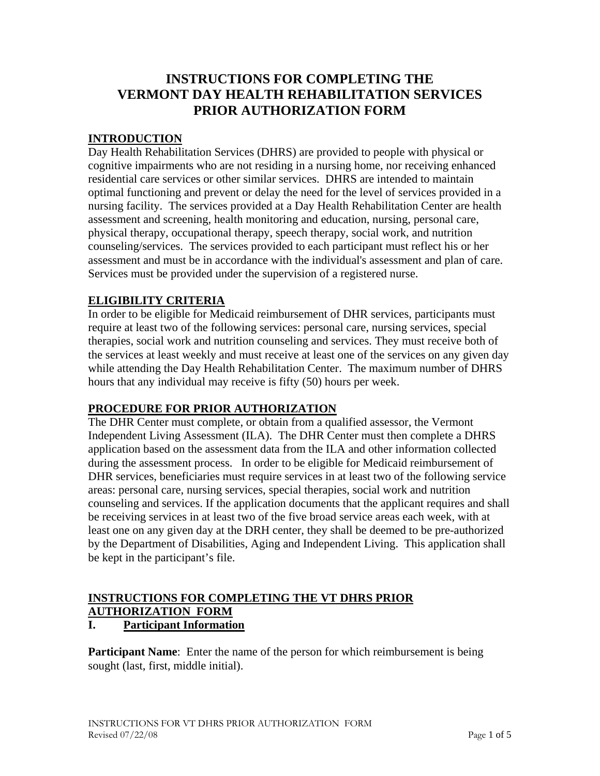# **INSTRUCTIONS FOR COMPLETING THE VERMONT DAY HEALTH REHABILITATION SERVICES PRIOR AUTHORIZATION FORM**

# **INTRODUCTION**

Day Health Rehabilitation Services (DHRS) are provided to people with physical or cognitive impairments who are not residing in a nursing home, nor receiving enhanced residential care services or other similar services. DHRS are intended to maintain optimal functioning and prevent or delay the need for the level of services provided in a nursing facility. The services provided at a Day Health Rehabilitation Center are health assessment and screening, health monitoring and education, nursing, personal care, physical therapy, occupational therapy, speech therapy, social work, and nutrition counseling/services. The services provided to each participant must reflect his or her assessment and must be in accordance with the individual's assessment and plan of care. Services must be provided under the supervision of a registered nurse.

# **ELIGIBILITY CRITERIA**

In order to be eligible for Medicaid reimbursement of DHR services, participants must require at least two of the following services: personal care, nursing services, special therapies, social work and nutrition counseling and services. They must receive both of the services at least weekly and must receive at least one of the services on any given day while attending the Day Health Rehabilitation Center. The maximum number of DHRS hours that any individual may receive is fifty (50) hours per week.

# **PROCEDURE FOR PRIOR AUTHORIZATION**

The DHR Center must complete, or obtain from a qualified assessor, the Vermont Independent Living Assessment (ILA). The DHR Center must then complete a DHRS application based on the assessment data from the ILA and other information collected during the assessment process. In order to be eligible for Medicaid reimbursement of DHR services, beneficiaries must require services in at least two of the following service areas: personal care, nursing services, special therapies, social work and nutrition counseling and services. If the application documents that the applicant requires and shall be receiving services in at least two of the five broad service areas each week, with at least one on any given day at the DRH center, they shall be deemed to be pre-authorized by the Department of Disabilities, Aging and Independent Living. This application shall be kept in the participant's file.

# **INSTRUCTIONS FOR COMPLETING THE VT DHRS PRIOR AUTHORIZATION FORM**

# **I. Participant Information**

**Participant Name**: Enter the name of the person for which reimbursement is being sought (last, first, middle initial).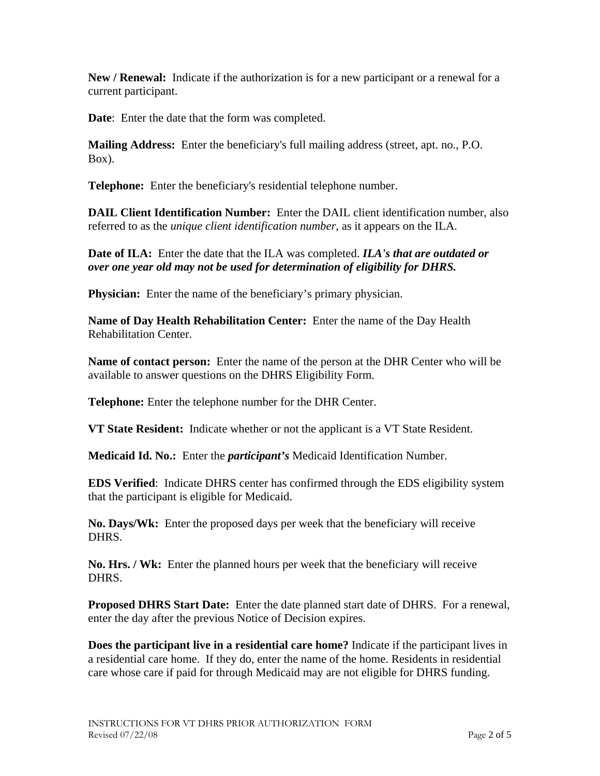**New / Renewal:** Indicate if the authorization is for a new participant or a renewal for a current participant.

**Date**: Enter the date that the form was completed.

**Mailing Address:** Enter the beneficiary's full mailing address (street, apt. no., P.O. Box).

**Telephone:** Enter the beneficiary's residential telephone number.

**DAIL Client Identification Number:** Enter the DAIL client identification number, also referred to as the *unique client identification number*, as it appears on the ILA.

**Date of ILA:** Enter the date that the ILA was completed. *ILA's that are outdated or over one year old may not be used for determination of eligibility for DHRS.* 

**Physician:** Enter the name of the beneficiary's primary physician.

**Name of Day Health Rehabilitation Center:** Enter the name of the Day Health Rehabilitation Center.

**Name of contact person:** Enter the name of the person at the DHR Center who will be available to answer questions on the DHRS Eligibility Form.

**Telephone:** Enter the telephone number for the DHR Center.

**VT State Resident:** Indicate whether or not the applicant is a VT State Resident.

**Medicaid Id. No.:** Enter the *participant's* Medicaid Identification Number.

**EDS Verified**: Indicate DHRS center has confirmed through the EDS eligibility system that the participant is eligible for Medicaid.

**No. Days/Wk:** Enter the proposed days per week that the beneficiary will receive DHRS.

**No. Hrs. / Wk:** Enter the planned hours per week that the beneficiary will receive DHRS.

**Proposed DHRS Start Date:** Enter the date planned start date of DHRS. For a renewal, enter the day after the previous Notice of Decision expires.

**Does the participant live in a residential care home?** Indicate if the participant lives in a residential care home. If they do, enter the name of the home. Residents in residential care whose care if paid for through Medicaid may are not eligible for DHRS funding.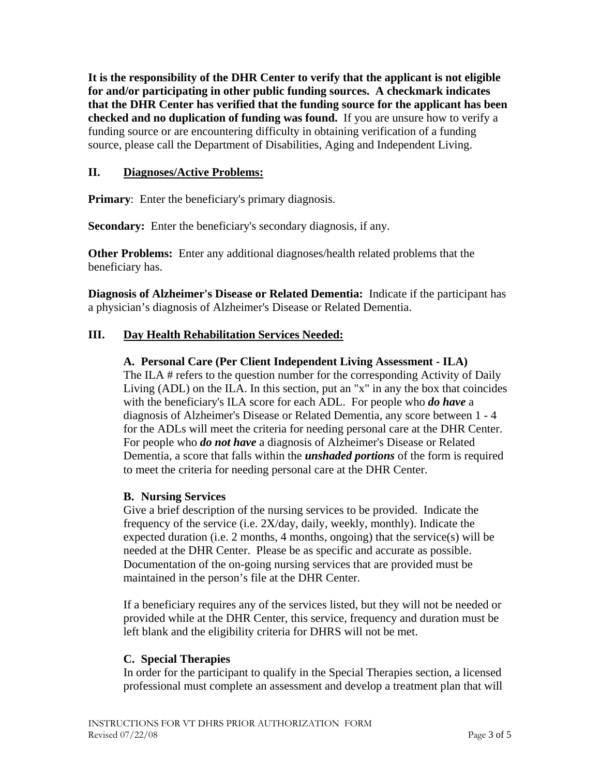**It is the responsibility of the DHR Center to verify that the applicant is not eligible for and/or participating in other public funding sources. A checkmark indicates that the DHR Center has verified that the funding source for the applicant has been checked and no duplication of funding was found.** If you are unsure how to verify a funding source or are encountering difficulty in obtaining verification of a funding source, please call the Department of Disabilities, Aging and Independent Living.

## **II. Diagnoses/Active Problems:**

**Primary:** Enter the beneficiary's primary diagnosis.

**Secondary:** Enter the beneficiary's secondary diagnosis, if any.

**Other Problems:** Enter any additional diagnoses/health related problems that the beneficiary has.

**Diagnosis of Alzheimer's Disease or Related Dementia:** Indicate if the participant has a physician's diagnosis of Alzheimer's Disease or Related Dementia.

## **III. Day Health Rehabilitation Services Needed:**

#### **A. Personal Care (Per Client Independent Living Assessment - ILA)**

The ILA # refers to the question number for the corresponding Activity of Daily Living (ADL) on the ILA. In this section, put an "x" in any the box that coincides with the beneficiary's ILA score for each ADL. For people who *do have* a diagnosis of Alzheimer's Disease or Related Dementia, any score between 1 - 4 for the ADLs will meet the criteria for needing personal care at the DHR Center. For people who *do not have* a diagnosis of Alzheimer's Disease or Related Dementia, a score that falls within the *unshaded portions* of the form is required to meet the criteria for needing personal care at the DHR Center.

#### **B. Nursing Services**

Give a brief description of the nursing services to be provided. Indicate the frequency of the service (i.e. 2X/day, daily, weekly, monthly). Indicate the expected duration (i.e. 2 months, 4 months, ongoing) that the service(s) will be needed at the DHR Center. Please be as specific and accurate as possible. Documentation of the on-going nursing services that are provided must be maintained in the person's file at the DHR Center.

If a beneficiary requires any of the services listed, but they will not be needed or provided while at the DHR Center, this service, frequency and duration must be left blank and the eligibility criteria for DHRS will not be met.

#### **C. Special Therapies**

In order for the participant to qualify in the Special Therapies section, a licensed professional must complete an assessment and develop a treatment plan that will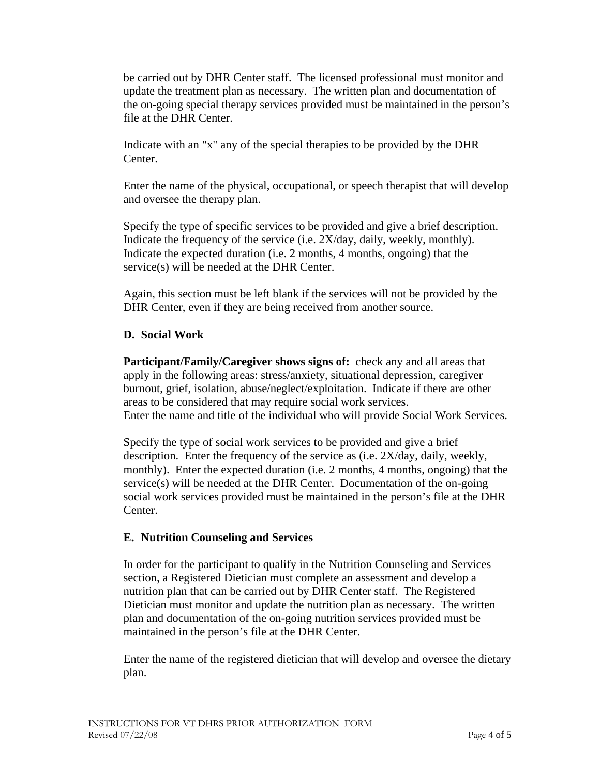be carried out by DHR Center staff. The licensed professional must monitor and update the treatment plan as necessary. The written plan and documentation of the on-going special therapy services provided must be maintained in the person's file at the DHR Center.

Indicate with an "x" any of the special therapies to be provided by the DHR Center.

Enter the name of the physical, occupational, or speech therapist that will develop and oversee the therapy plan.

Specify the type of specific services to be provided and give a brief description. Indicate the frequency of the service (i.e. 2X/day, daily, weekly, monthly). Indicate the expected duration (i.e.  $2$  months,  $4$  months, ongoing) that the service(s) will be needed at the DHR Center.

Again, this section must be left blank if the services will not be provided by the DHR Center, even if they are being received from another source.

# **D. Social Work**

**Participant/Family/Caregiver shows signs of:** check any and all areas that apply in the following areas: stress/anxiety, situational depression, caregiver burnout, grief, isolation, abuse/neglect/exploitation. Indicate if there are other areas to be considered that may require social work services. Enter the name and title of the individual who will provide Social Work Services.

Specify the type of social work services to be provided and give a brief description. Enter the frequency of the service as (i.e. 2X/day, daily, weekly, monthly). Enter the expected duration (i.e. 2 months, 4 months, ongoing) that the service(s) will be needed at the DHR Center. Documentation of the on-going social work services provided must be maintained in the person's file at the DHR Center.

# **E. Nutrition Counseling and Services**

In order for the participant to qualify in the Nutrition Counseling and Services section, a Registered Dietician must complete an assessment and develop a nutrition plan that can be carried out by DHR Center staff. The Registered Dietician must monitor and update the nutrition plan as necessary. The written plan and documentation of the on-going nutrition services provided must be maintained in the person's file at the DHR Center.

Enter the name of the registered dietician that will develop and oversee the dietary plan.